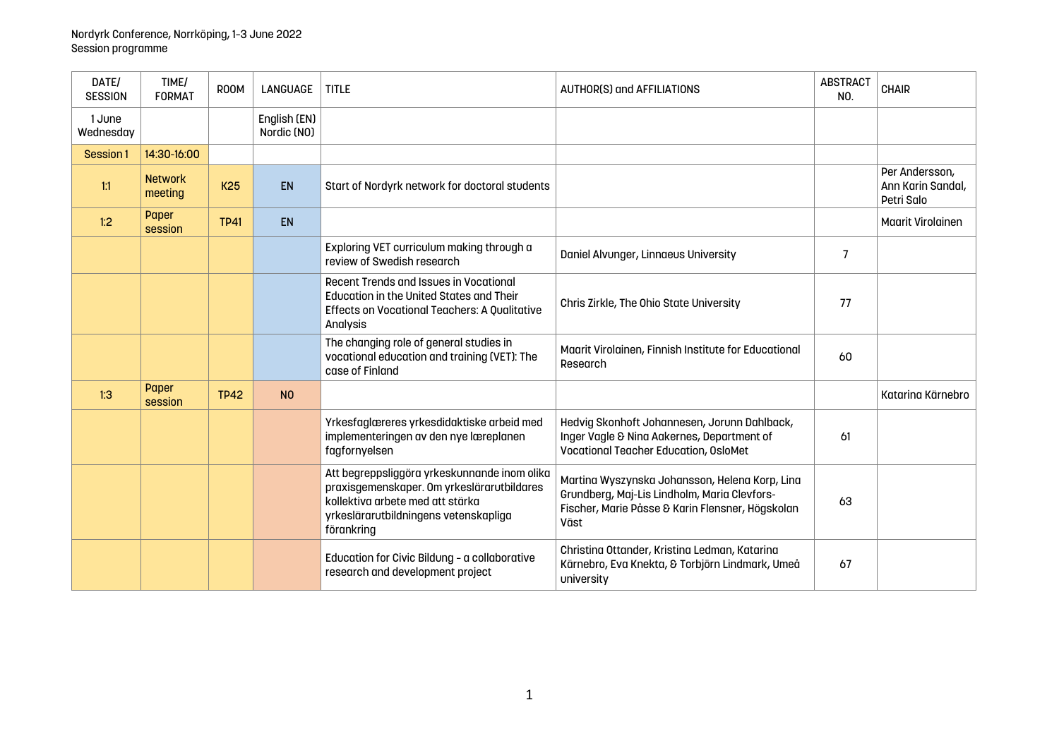| DATE/<br><b>SESSION</b> | TIME/<br><b>FORMAT</b>    | ROOM        | <b>LANGUAGE</b>             | <b>TITLE</b>                                                                                                                                                                          | <b>AUTHOR(S) and AFFILIATIONS</b>                                                                                                                          | <b>ABSTRACT</b><br>NO. | <b>CHAIR</b>                                      |
|-------------------------|---------------------------|-------------|-----------------------------|---------------------------------------------------------------------------------------------------------------------------------------------------------------------------------------|------------------------------------------------------------------------------------------------------------------------------------------------------------|------------------------|---------------------------------------------------|
| 1 June<br>Wednesday     |                           |             | English (EN)<br>Nordic (NO) |                                                                                                                                                                                       |                                                                                                                                                            |                        |                                                   |
| Session 1               | 14:30-16:00               |             |                             |                                                                                                                                                                                       |                                                                                                                                                            |                        |                                                   |
| 1:1                     | <b>Network</b><br>meeting | <b>K25</b>  | EN                          | Start of Nordyrk network for doctoral students                                                                                                                                        |                                                                                                                                                            |                        | Per Andersson,<br>Ann Karin Sandal,<br>Petri Salo |
| 1:2                     | Paper<br>session          | <b>TP41</b> | <b>EN</b>                   |                                                                                                                                                                                       |                                                                                                                                                            |                        | <b>Maarit Virolainen</b>                          |
|                         |                           |             |                             | Exploring VET curriculum making through a<br>review of Swedish research                                                                                                               | Daniel Alvunger, Linnaeus University                                                                                                                       | $\overline{7}$         |                                                   |
|                         |                           |             |                             | Recent Trends and Issues in Vocational<br><b>Education in the United States and Their</b><br>Effects on Vocational Teachers: A Qualitative<br>Analysis                                | Chris Zirkle, The Ohio State University                                                                                                                    | 77                     |                                                   |
|                         |                           |             |                             | The changing role of general studies in<br>vocational education and training (VET): The<br>case of Finland                                                                            | Maarit Virolainen, Finnish Institute for Educational<br>Research                                                                                           | 60                     |                                                   |
| 1:3                     | Paper<br>session          | <b>TP42</b> | N <sub>0</sub>              |                                                                                                                                                                                       |                                                                                                                                                            |                        | Katarina Kärnebro                                 |
|                         |                           |             |                             | Yrkesfaglæreres yrkesdidaktiske arbeid med<br>implementeringen av den nye læreplanen<br>fagfornyelsen                                                                                 | Hedvig Skonhoft Johannesen, Jorunn Dahlback,<br>Inger Vagle & Nina Aakernes, Department of<br><b>Vocational Teacher Education, OsloMet</b>                 | 61                     |                                                   |
|                         |                           |             |                             | Att begreppsliggöra yrkeskunnande inom olika<br>praxisgemenskaper. Om yrkeslärarutbildares<br>kollektiva arbete med att stärka<br>yrkeslärarutbildningens vetenskapliga<br>förankring | Martina Wyszynska Johansson, Helena Korp, Lina<br>Grundberg, Maj-Lis Lindholm, Maria Clevfors-<br>Fischer, Marie Påsse & Karin Flensner, Högskolan<br>Väst | 63                     |                                                   |
|                         |                           |             |                             | Education for Civic Bildung - a collaborative<br>research and development project                                                                                                     | Christina Ottander, Kristina Ledman, Katarina<br>Kärnebro, Eva Knekta, & Torbjörn Lindmark, Umeå<br>university                                             | 67                     |                                                   |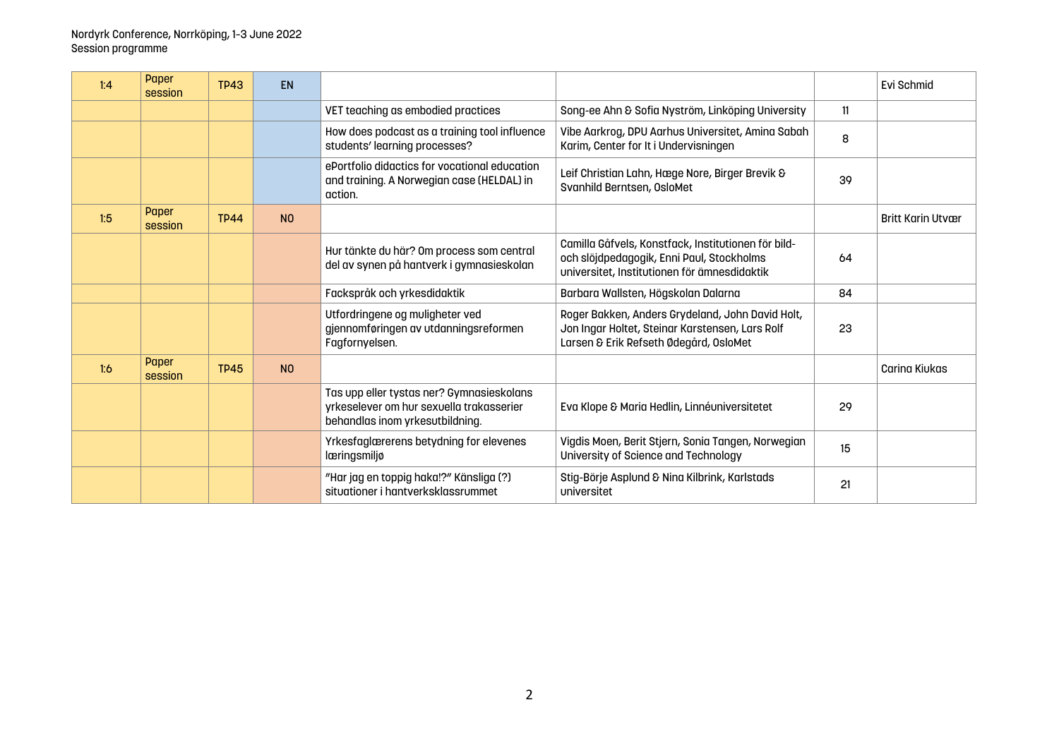| 1:4 | Paper<br>session | <b>TP43</b> | <b>EN</b>      |                                                                                                                          |                                                                                                                                                  |    | Evi Schmid               |
|-----|------------------|-------------|----------------|--------------------------------------------------------------------------------------------------------------------------|--------------------------------------------------------------------------------------------------------------------------------------------------|----|--------------------------|
|     |                  |             |                | VET teaching as embodied practices                                                                                       | Song-ee Ahn & Sofia Nyström, Linköping University                                                                                                | 11 |                          |
|     |                  |             |                | How does podcast as a training tool influence<br>students' learning processes?                                           | Vibe Aarkrog, DPU Aarhus Universitet, Amina Sabah<br>Karim, Center for It i Undervisningen                                                       | 8  |                          |
|     |                  |             |                | ePortfolio didactics for vocational education<br>and training. A Norwegian case (HELDAL) in<br>action.                   | Leif Christian Lahn, Hæge Nore, Birger Brevik &<br>Svanhild Berntsen, OsloMet                                                                    | 39 |                          |
| 1:5 | Paper<br>session | <b>TP44</b> | N <sub>0</sub> |                                                                                                                          |                                                                                                                                                  |    | <b>Britt Karin Utvær</b> |
|     |                  |             |                | Hur tänkte du här? Om process som central<br>del av synen på hantverk i gymnasieskolan                                   | Camilla Gåfvels, Konstfack, Institutionen för bild-<br>och slöjdpedagogik, Enni Paul, Stockholms<br>universitet, Institutionen för ämnesdidaktik | 64 |                          |
|     |                  |             |                | Fackspråk och yrkesdidaktik                                                                                              | Barbara Wallsten, Högskolan Dalarna                                                                                                              | 84 |                          |
|     |                  |             |                | Utfordringene og muligheter ved<br>gjennomføringen av utdanningsreformen<br>Fagfornyelsen.                               | Roger Bakken, Anders Grydeland, John David Holt,<br>Jon Ingar Holtet, Steinar Karstensen, Lars Rolf<br>Larsen & Erik Refseth Ødegård, OsloMet    | 23 |                          |
| 1:6 | Paper<br>session | <b>TP45</b> | N <sub>0</sub> |                                                                                                                          |                                                                                                                                                  |    | Carina Kiukas            |
|     |                  |             |                | Tas upp eller tystas ner? Gymnasieskolans<br>yrkeselever om hur sexuella trakasserier<br>behandlas inom yrkesutbildning. | Eva Klope & Maria Hedlin, Linnéuniversitetet                                                                                                     | 29 |                          |
|     |                  |             |                | Yrkesfaglærerens betydning for elevenes<br>læringsmiljø                                                                  | Vigdis Moen, Berit Stjern, Sonia Tangen, Norwegian<br>University of Science and Technology                                                       | 15 |                          |
|     |                  |             |                | "Har jag en toppig haka!?" Känsliga (?)<br>situationer i hantverksklassrummet                                            | Stig-Börje Asplund & Nina Kilbrink, Karlstads<br>universitet                                                                                     | 21 |                          |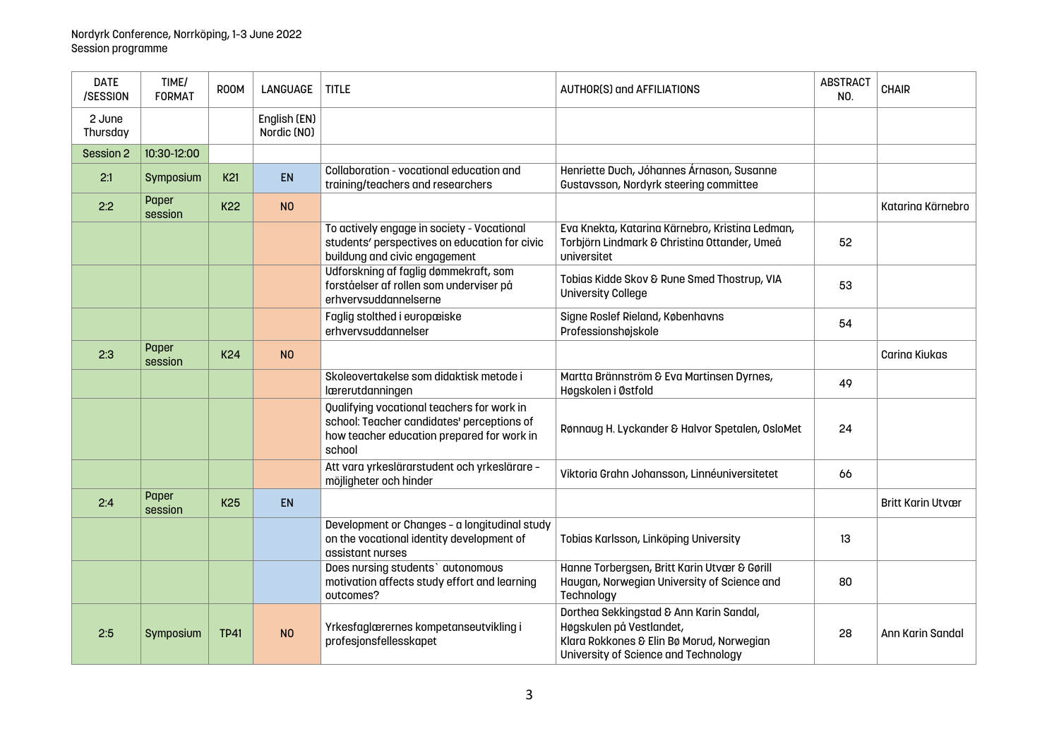| <b>DATE</b><br>/SESSION | TIME/<br><b>FORMAT</b> | ROOM            | LANGUAGE                    | <b>TITLE</b>                                                                                                                                     | <b>AUTHOR(S) and AFFILIATIONS</b>                                                                                                                        | <b>ABSTRACT</b><br>NO. | <b>CHAIR</b>             |
|-------------------------|------------------------|-----------------|-----------------------------|--------------------------------------------------------------------------------------------------------------------------------------------------|----------------------------------------------------------------------------------------------------------------------------------------------------------|------------------------|--------------------------|
| 2 June<br>Thursday      |                        |                 | English (EN)<br>Nordic (NO) |                                                                                                                                                  |                                                                                                                                                          |                        |                          |
| Session 2               | 10:30-12:00            |                 |                             |                                                                                                                                                  |                                                                                                                                                          |                        |                          |
| 2:1                     | Symposium              | K <sub>21</sub> | <b>EN</b>                   | Collaboration - vocational education and<br>training/teachers and researchers                                                                    | Henriette Duch, Jóhannes Árnason, Susanne<br>Gustavsson, Nordyrk steering committee                                                                      |                        |                          |
| 2:2                     | Paper<br>session       | <b>K22</b>      | N <sub>O</sub>              |                                                                                                                                                  |                                                                                                                                                          |                        | Katarina Kärnebro        |
|                         |                        |                 |                             | To actively engage in society - Vocational<br>students' perspectives on education for civic<br>buildung and civic engagement                     | Eva Knekta, Katarina Kärnebro, Kristina Ledman,<br>Torbjörn Lindmark & Christina Ottander, Umeå<br>universitet                                           | 52                     |                          |
|                         |                        |                 |                             | Udforskning af faglig dømmekraft, som<br>forståelser af rollen som underviser på<br>erhvervsuddannelserne                                        | Tobias Kidde Skov & Rune Smed Thostrup, VIA<br><b>University College</b>                                                                                 | 53                     |                          |
|                         |                        |                 |                             | Faglig stolthed i europæiske<br>erhvervsuddannelser                                                                                              | Signe Roslef Rieland, Københavns<br>Professionshøjskole                                                                                                  | 54                     |                          |
| 2:3                     | Paper<br>session       | <b>K24</b>      | N <sub>0</sub>              |                                                                                                                                                  |                                                                                                                                                          |                        | Carina Kiukas            |
|                         |                        |                 |                             | Skoleovertakelse som didaktisk metode i<br>lærerutdanningen                                                                                      | Martta Brännström & Eva Martinsen Dyrnes,<br>Høgskolen i Østfold                                                                                         | 49                     |                          |
|                         |                        |                 |                             | Qualifying vocational teachers for work in<br>school: Teacher candidates' perceptions of<br>how teacher education prepared for work in<br>school | Rønnaug H. Lyckander & Halvor Spetalen, OsloMet                                                                                                          | 24                     |                          |
|                         |                        |                 |                             | Att vara yrkeslärarstudent och yrkeslärare -<br>möjligheter och hinder                                                                           | Viktoria Grahn Johansson, Linnéuniversitetet                                                                                                             | 66                     |                          |
| 2:4                     | Paper<br>session       | K <sub>25</sub> | <b>EN</b>                   |                                                                                                                                                  |                                                                                                                                                          |                        | <b>Britt Karin Utvær</b> |
|                         |                        |                 |                             | Development or Changes - a longitudinal study<br>on the vocational identity development of<br>assistant nurses                                   | Tobias Karlsson, Linköping University                                                                                                                    | 13                     |                          |
|                         |                        |                 |                             | Does nursing students' autonomous<br>motivation affects study effort and learning<br>outcomes?                                                   | Hanne Torbergsen, Britt Karin Utvær & Gørill<br>Haugan, Norwegian University of Science and<br>Technology                                                | 80                     |                          |
| 2:5                     | Symposium              | <b>TP41</b>     | N <sub>O</sub>              | Yrkesfaglærernes kompetanseutvikling i<br>profesjonsfellesskapet                                                                                 | Dorthea Sekkingstad & Ann Karin Sandal,<br>Høgskulen på Vestlandet,<br>Klara Rokkones & Elin Bø Morud, Norwegian<br>University of Science and Technology | 28                     | Ann Karin Sandal         |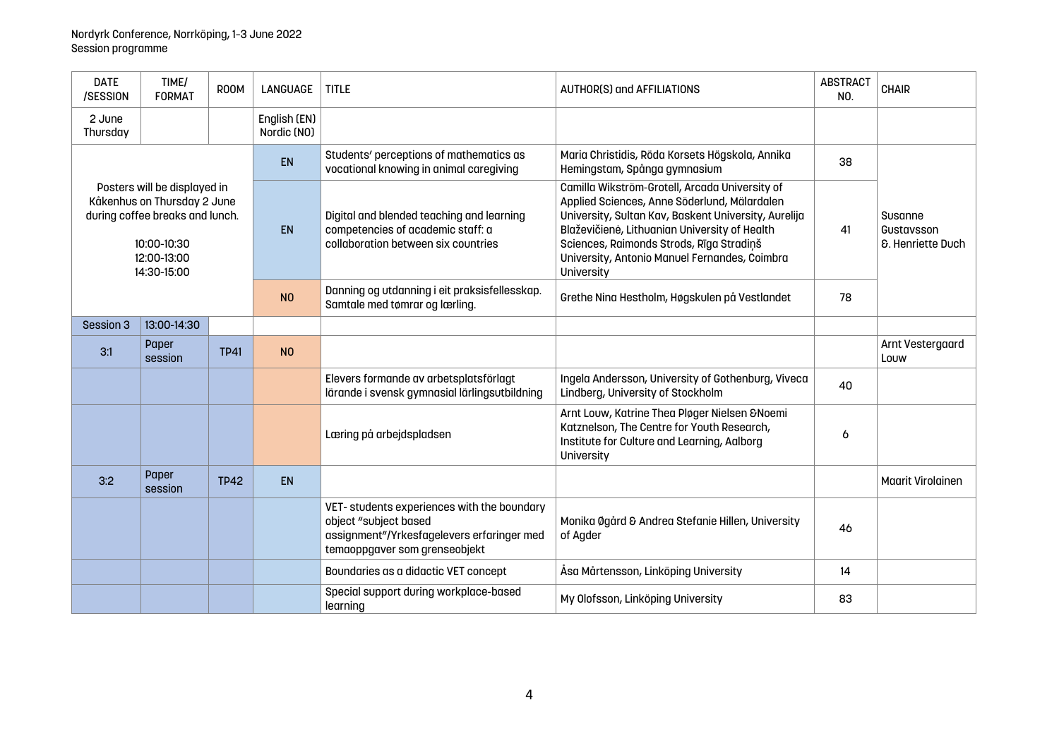| <b>DATE</b><br>/SESSION                                                                                                                     | TIME/<br><b>FORMAT</b> | ROOM        | LANGUAGE                    | <b>TITLE</b>                                                                                                                                       | AUTHOR(S) and AFFILIATIONS                                                                                                                                                                                                                                                                                         | <b>ABSTRACT</b><br>NO. | <b>CHAIR</b>                                          |
|---------------------------------------------------------------------------------------------------------------------------------------------|------------------------|-------------|-----------------------------|----------------------------------------------------------------------------------------------------------------------------------------------------|--------------------------------------------------------------------------------------------------------------------------------------------------------------------------------------------------------------------------------------------------------------------------------------------------------------------|------------------------|-------------------------------------------------------|
| 2 June<br>Thursday                                                                                                                          |                        |             | English (EN)<br>Nordic (NO) |                                                                                                                                                    |                                                                                                                                                                                                                                                                                                                    |                        |                                                       |
|                                                                                                                                             |                        | <b>EN</b>   |                             | Students' perceptions of mathematics as<br>vocational knowing in animal caregiving                                                                 | Maria Christidis, Röda Korsets Högskola, Annika<br>Hemingstam, Spånga gymnasium                                                                                                                                                                                                                                    | 38                     |                                                       |
| Posters will be displayed in<br>Kåkenhus on Thursday 2 June<br>during coffee breaks and lunch.<br>10:00-10:30<br>12:00-13:00<br>14:30-15:00 |                        |             | <b>EN</b>                   | Digital and blended teaching and learning<br>competencies of academic staff: a<br>collaboration between six countries                              | Camilla Wikström-Grotell, Arcada University of<br>Applied Sciences, Anne Söderlund, Mälardalen<br>University, Sultan Kav, Baskent University, Aurelija<br>Blaževičienė, Lithuanian University of Health<br>Sciences, Raimonds Strods, Rīga Stradiņš<br>University, Antonio Manuel Fernandes, Coimbra<br>University | 41                     | Susanne<br>Gustavsson<br><b>&amp;. Henriette Duch</b> |
|                                                                                                                                             |                        |             | N <sub>O</sub>              | Danning og utdanning i eit praksisfellesskap.<br>Samtale med tømrar og lærling.                                                                    | Grethe Nina Hestholm, Høgskulen på Vestlandet                                                                                                                                                                                                                                                                      | 78                     |                                                       |
| Session 3                                                                                                                                   | 13:00-14:30            |             |                             |                                                                                                                                                    |                                                                                                                                                                                                                                                                                                                    |                        |                                                       |
| 3:1                                                                                                                                         | Paper<br>session       | <b>TP41</b> | N <sub>0</sub>              |                                                                                                                                                    |                                                                                                                                                                                                                                                                                                                    |                        | Arnt Vestergaard<br>Louw                              |
|                                                                                                                                             |                        |             |                             | Elevers formande av arbetsplatsförlagt<br>lärande i svensk gymnasial lärlingsutbildning                                                            | Ingela Andersson, University of Gothenburg, Viveca<br>Lindberg, University of Stockholm                                                                                                                                                                                                                            | 40                     |                                                       |
|                                                                                                                                             |                        |             |                             | Læring på arbejdspladsen                                                                                                                           | Arnt Louw, Katrine Thea Pløger Nielsen & Noemi<br>Katznelson, The Centre for Youth Research,<br>Institute for Culture and Learning, Aalborg<br>University                                                                                                                                                          | 6                      |                                                       |
| 3:2                                                                                                                                         | Paper<br>session       | <b>TP42</b> | <b>EN</b>                   |                                                                                                                                                    |                                                                                                                                                                                                                                                                                                                    |                        | <b>Maarit Virolainen</b>                              |
|                                                                                                                                             |                        |             |                             | VET-students experiences with the boundary<br>object "subject based<br>assignment"/Yrkesfagelevers erfaringer med<br>temaoppgaver som grenseobjekt | Monika Øgård & Andrea Stefanie Hillen, University<br>of Agder                                                                                                                                                                                                                                                      | 46                     |                                                       |
|                                                                                                                                             |                        |             |                             | Boundaries as a didactic VET concept                                                                                                               | Åsa Mårtensson, Linköping University                                                                                                                                                                                                                                                                               | 14                     |                                                       |
|                                                                                                                                             |                        |             |                             | Special support during workplace-based<br>learning                                                                                                 | My Olofsson, Linköping University                                                                                                                                                                                                                                                                                  | 83                     |                                                       |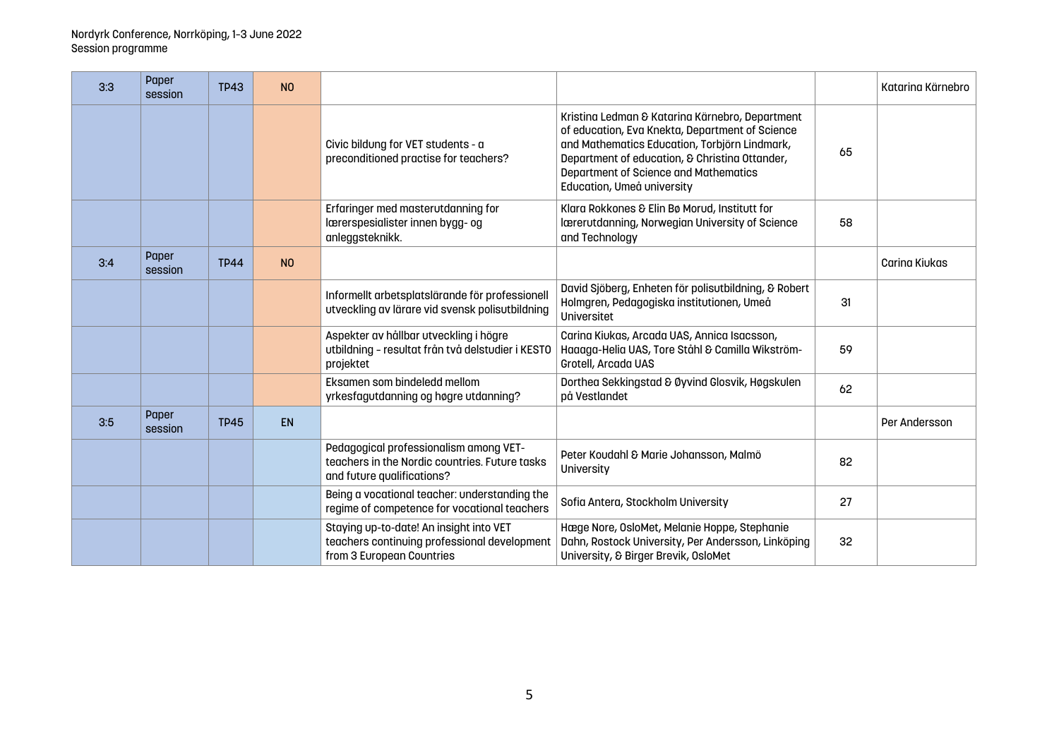| 3:3 | Paper<br>session | <b>TP43</b> | N <sub>0</sub> |                                                                                                                        |                                                                                                                                                                                                                                                                              |    | Katarina Kärnebro |
|-----|------------------|-------------|----------------|------------------------------------------------------------------------------------------------------------------------|------------------------------------------------------------------------------------------------------------------------------------------------------------------------------------------------------------------------------------------------------------------------------|----|-------------------|
|     |                  |             |                | Civic bildung for VET students - a<br>preconditioned practise for teachers?                                            | Kristina Ledman & Katarina Kärnebro, Department<br>of education, Eva Knekta, Department of Science<br>and Mathematics Education, Torbjörn Lindmark,<br>Department of education, & Christina Ottander,<br>Department of Science and Mathematics<br>Education, Umeå university | 65 |                   |
|     |                  |             |                | Erfaringer med masterutdanning for<br>lærerspesialister innen bygg- og<br>anleggsteknikk.                              | Klara Rokkones & Elin Bø Morud, Institutt for<br>Iærerutdanning, Norwegian University of Science<br>and Technology                                                                                                                                                           | 58 |                   |
| 3:4 | Paper<br>session | <b>TP44</b> | N <sub>O</sub> |                                                                                                                        |                                                                                                                                                                                                                                                                              |    | Carina Kiukas     |
|     |                  |             |                | Informellt arbetsplatslärande för professionell<br>utveckling av lärare vid svensk polisutbildning                     | David Sjöberg, Enheten för polisutbildning, & Robert<br>Holmgren, Pedagogiska institutionen, Umeå<br>Universitet                                                                                                                                                             | 31 |                   |
|     |                  |             |                | Aspekter av hållbar utveckling i högre<br>utbildning - resultat från två delstudier i KESTO<br>projektet               | Carina Kiukas, Arcada UAS, Annica Isacsson,<br>Haaaga-Helia UAS, Tore Ståhl & Camilla Wikström-<br>Grotell, Arcada UAS                                                                                                                                                       | 59 |                   |
|     |                  |             |                | Eksamen som bindeledd mellom<br>yrkesfagutdanning og høgre utdanning?                                                  | Dorthea Sekkingstad & Øyvind Glosvik, Høgskulen<br>på Vestlandet                                                                                                                                                                                                             | 62 |                   |
| 3:5 | Paper<br>session | <b>TP45</b> | <b>EN</b>      |                                                                                                                        |                                                                                                                                                                                                                                                                              |    | Per Andersson     |
|     |                  |             |                | Pedagogical professionalism among VET-<br>teachers in the Nordic countries. Future tasks<br>and future qualifications? | Peter Koudahl & Marie Johansson, Malmö<br>University                                                                                                                                                                                                                         | 82 |                   |
|     |                  |             |                | Being a vocational teacher: understanding the<br>regime of competence for vocational teachers                          | Sofia Antera, Stockholm University                                                                                                                                                                                                                                           | 27 |                   |
|     |                  |             |                | Staying up-to-date! An insight into VET<br>teachers continuing professional development<br>from 3 European Countries   | Hæge Nore, OsloMet, Melanie Hoppe, Stephanie<br>Dahn, Rostock University, Per Andersson, Linköping<br>University, & Birger Brevik, OsloMet                                                                                                                                   | 32 |                   |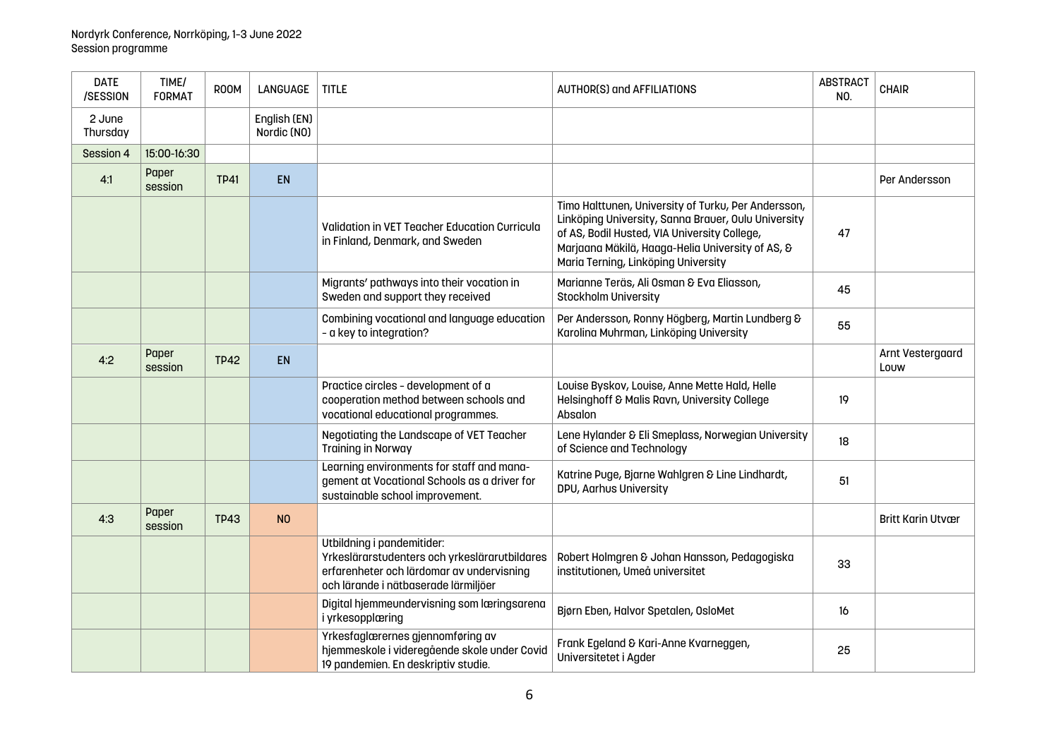| <b>DATE</b><br>/SESSION | TIME/<br><b>FORMAT</b> | <b>ROOM</b> | <b>LANGUAGE</b>             | <b>TITLE</b>                                                                                                                                                     | <b>AUTHOR(S) and AFFILIATIONS</b>                                                                                                                                                                                                                     | <b>ABSTRACT</b><br>NO. | <b>CHAIR</b>             |
|-------------------------|------------------------|-------------|-----------------------------|------------------------------------------------------------------------------------------------------------------------------------------------------------------|-------------------------------------------------------------------------------------------------------------------------------------------------------------------------------------------------------------------------------------------------------|------------------------|--------------------------|
| 2 June<br>Thursday      |                        |             | English (EN)<br>Nordic (NO) |                                                                                                                                                                  |                                                                                                                                                                                                                                                       |                        |                          |
| Session 4               | 15:00-16:30            |             |                             |                                                                                                                                                                  |                                                                                                                                                                                                                                                       |                        |                          |
| 4:1                     | Paper<br>session       | <b>TP41</b> | EN                          |                                                                                                                                                                  |                                                                                                                                                                                                                                                       |                        | Per Andersson            |
|                         |                        |             |                             | <b>Validation in VET Teacher Education Curricula</b><br>in Finland, Denmark, and Sweden                                                                          | Timo Halttunen, University of Turku, Per Andersson,<br>Linköping University, Sanna Brauer, Oulu University<br>of AS, Bodil Husted, VIA University College,<br>Marjaana Mäkilä, Haaga-Helia University of AS, &<br>Maria Terning, Linköping University | 47                     |                          |
|                         |                        |             |                             | Migrants' pathways into their vocation in<br>Sweden and support they received                                                                                    | Marianne Teräs, Ali Osman & Eva Eliasson,<br><b>Stockholm University</b>                                                                                                                                                                              | 45                     |                          |
|                         |                        |             |                             | Combining vocational and language education<br>- a key to integration?                                                                                           | Per Andersson, Ronny Högberg, Martin Lundberg &<br>Karolina Muhrman, Linköping University                                                                                                                                                             | 55                     |                          |
| 4:2                     | Paper<br>session       | <b>TP42</b> | EN                          |                                                                                                                                                                  |                                                                                                                                                                                                                                                       |                        | Arnt Vestergaard<br>Louw |
|                         |                        |             |                             | Practice circles - development of a<br>cooperation method between schools and<br>vocational educational programmes.                                              | Louise Byskov, Louise, Anne Mette Hald, Helle<br>Helsinghoff & Malis Ravn, University College<br>Absalon                                                                                                                                              | 19                     |                          |
|                         |                        |             |                             | Negotiating the Landscape of VET Teacher<br><b>Training in Norway</b>                                                                                            | Lene Hylander & Eli Smeplass, Norwegian University<br>of Science and Technology                                                                                                                                                                       | 18                     |                          |
|                         |                        |             |                             | Learning environments for staff and mana-<br>gement at Vocational Schools as a driver for<br>sustainable school improvement.                                     | Katrine Puge, Bjarne Wahlgren & Line Lindhardt,<br>DPU, Aarhus University                                                                                                                                                                             | 51                     |                          |
| 4:3                     | Paper<br>session       | <b>TP43</b> | N <sub>0</sub>              |                                                                                                                                                                  |                                                                                                                                                                                                                                                       |                        | <b>Britt Karin Utvær</b> |
|                         |                        |             |                             | Utbildning i pandemitider:<br>Yrkeslärarstudenters och yrkeslärarutbildares<br>erfarenheter och lärdomar av undervisning<br>och lärande i nätbaserade lärmiljöer | Robert Holmgren & Johan Hansson, Pedagogiska<br>institutionen, Umeå universitet                                                                                                                                                                       | 33                     |                          |
|                         |                        |             |                             | Digital hjemmeundervisning som læringsarena<br>i yrkesopplæring                                                                                                  | Bjørn Eben, Halvor Spetalen, OsloMet                                                                                                                                                                                                                  | 16                     |                          |
|                         |                        |             |                             | Yrkesfaglærernes gjennomføring av<br>hjemmeskole i videregående skole under Covid<br>19 pandemien. En deskriptiv studie.                                         | Frank Egeland & Kari-Anne Kvarneggen,<br>Universitetet i Agder                                                                                                                                                                                        | 25                     |                          |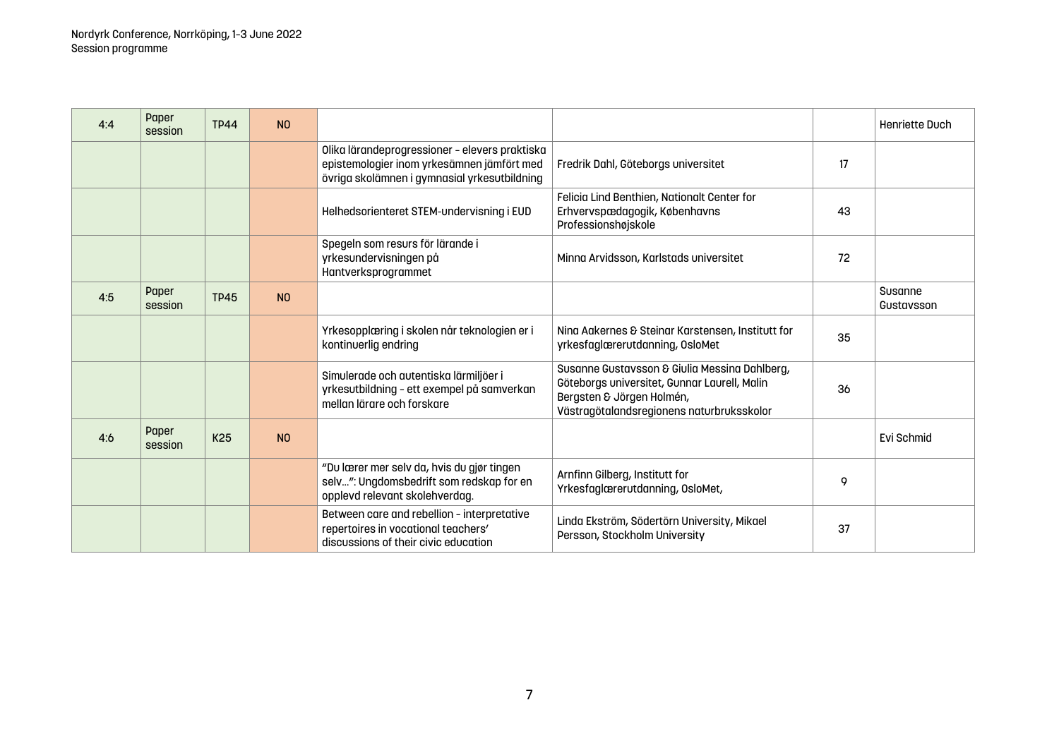| 4:4 | Paper<br>session | <b>TP44</b>     | N <sub>0</sub> |                                                                                                                                              |                                                                                                                                                                         |    | Henriette Duch        |
|-----|------------------|-----------------|----------------|----------------------------------------------------------------------------------------------------------------------------------------------|-------------------------------------------------------------------------------------------------------------------------------------------------------------------------|----|-----------------------|
|     |                  |                 |                | Olika lärandeprogressioner - elevers praktiska<br>epistemologier inom yrkesämnen jämfört med<br>övriga skolämnen i gymnasial yrkesutbildning | Fredrik Dahl, Göteborgs universitet                                                                                                                                     | 17 |                       |
|     |                  |                 |                | Helhedsorienteret STEM-undervisning i EUD                                                                                                    | Felicia Lind Benthien, Nationalt Center for<br>Erhvervspædagogik, Københavns<br>Professionshøjskole                                                                     | 43 |                       |
|     |                  |                 |                | Spegeln som resurs för lärande i<br>yrkesundervisningen på<br>Hantverksprogrammet                                                            | Minna Arvidsson, Karlstads universitet                                                                                                                                  | 72 |                       |
| 4:5 | Paper<br>session | <b>TP45</b>     | N <sub>0</sub> |                                                                                                                                              |                                                                                                                                                                         |    | Susanne<br>Gustavsson |
|     |                  |                 |                | Yrkesopplæring i skolen når teknologien er i<br>kontinuerlig endring                                                                         | Ning Aakernes & Steinar Karstensen, Institutt for<br>yrkesfaglærerutdanning, OsloMet                                                                                    | 35 |                       |
|     |                  |                 |                | Simulerade och autentiska lärmiljöer i<br>yrkesutbildning - ett exempel på samverkan<br>mellan lärare och forskare                           | Susanne Gustavsson & Giulia Messina Dahlberg,<br>Göteborgs universitet, Gunnar Laurell, Malin<br>Bergsten & Jörgen Holmén,<br>Västragötalandsregionens naturbruksskolor | 36 |                       |
| 4:6 | Paper<br>session | K <sub>25</sub> | N <sub>0</sub> |                                                                                                                                              |                                                                                                                                                                         |    | Evi Schmid            |
|     |                  |                 |                | "Du lærer mer selv da, hvis du gjør tingen<br>selv": Ungdomsbedrift som redskap for en<br>opplevd relevant skolehverdag.                     | Arnfinn Gilberg, Institutt for<br>Yrkesfaglærerutdanning, OsloMet,                                                                                                      | 9  |                       |
|     |                  |                 |                | Between care and rebellion - interpretative<br>repertoires in vocational teachers'<br>discussions of their civic education                   | Linda Ekström, Södertörn University, Mikael<br>Persson, Stockholm University                                                                                            | 37 |                       |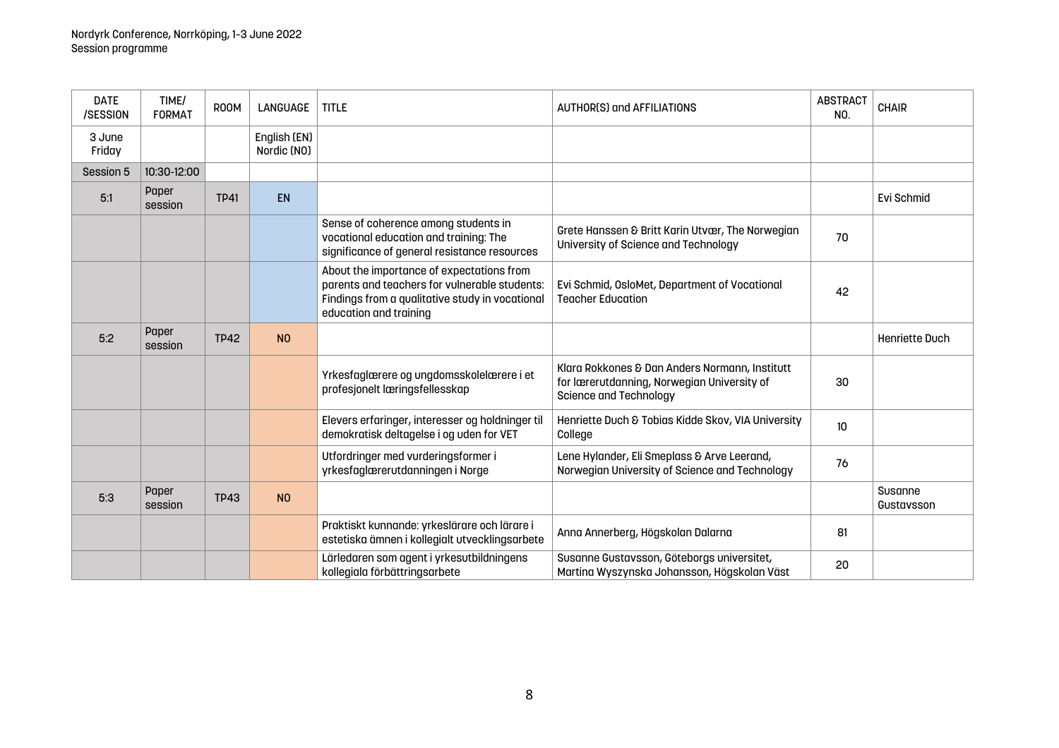| <b>DATE</b><br>/SESSION | TIME/<br><b>FORMAT</b> | ROOM        | LANGUAGE                    | <b>TITLE</b>                                                                                                                                                            | <b>AUTHOR(S) and AFFILIATIONS</b>                                                                                              | <b>ABSTRACT</b><br>NO. | CHAIR                 |
|-------------------------|------------------------|-------------|-----------------------------|-------------------------------------------------------------------------------------------------------------------------------------------------------------------------|--------------------------------------------------------------------------------------------------------------------------------|------------------------|-----------------------|
| 3 June<br>Friday        |                        |             | English (EN)<br>Nordic (NO) |                                                                                                                                                                         |                                                                                                                                |                        |                       |
| Session 5               | 10:30-12:00            |             |                             |                                                                                                                                                                         |                                                                                                                                |                        |                       |
| 5:1                     | Paper<br>session       | <b>TP41</b> | EN                          |                                                                                                                                                                         |                                                                                                                                |                        | Evi Schmid            |
|                         |                        |             |                             | Sense of coherence among students in<br>vocational education and training: The<br>significance of general resistance resources                                          | Grete Hanssen & Britt Karin Utvær, The Norwegian<br>University of Science and Technology                                       | 70                     |                       |
|                         |                        |             |                             | About the importance of expectations from<br>parents and teachers for vulnerable students:<br>Findings from a qualitative study in vocational<br>education and training | Evi Schmid, OsloMet, Department of Vocational<br><b>Teacher Education</b>                                                      | 42                     |                       |
| 5:2                     | Paper<br>session       | <b>TP42</b> | N <sub>O</sub>              |                                                                                                                                                                         |                                                                                                                                |                        | Henriette Duch        |
|                         |                        |             |                             | Yrkesfaglærere og ungdomsskolelærere i et<br>profesjonelt læringsfellesskap                                                                                             | Klara Rokkones & Dan Anders Normann, Institutt<br>for lærerutdanning, Norwegian University of<br><b>Science and Technology</b> | 30                     |                       |
|                         |                        |             |                             | Elevers erfaringer, interesser og holdninger til<br>demokratisk deltagelse i og uden for VET                                                                            | Henriette Duch & Tobias Kidde Skov, VIA University<br>College                                                                  | 10 <sup>10</sup>       |                       |
|                         |                        |             |                             | Utfordringer med vurderingsformer i<br>yrkesfaglærerutdanningen i Norge                                                                                                 | Lene Hylander, Eli Smeplass & Arve Leerand,<br>Norwegian University of Science and Technology                                  | 76                     |                       |
| 5:3                     | Paper<br>session       | <b>TP43</b> | N <sub>O</sub>              |                                                                                                                                                                         |                                                                                                                                |                        | Susanne<br>Gustavsson |
|                         |                        |             |                             | Praktiskt kunnande: yrkeslärare och lärare i<br>estetiska ämnen i kollegialt utvecklingsarbete                                                                          | Anna Annerberg, Högskolan Dalarna                                                                                              | 81                     |                       |
|                         |                        |             |                             | Lärledaren som agent i yrkesutbildningens<br>kollegiala förbättringsarbete                                                                                              | Susanne Gustavsson, Göteborgs universitet,<br>Martina Wyszynska Johansson, Högskolan Väst                                      | 20                     |                       |